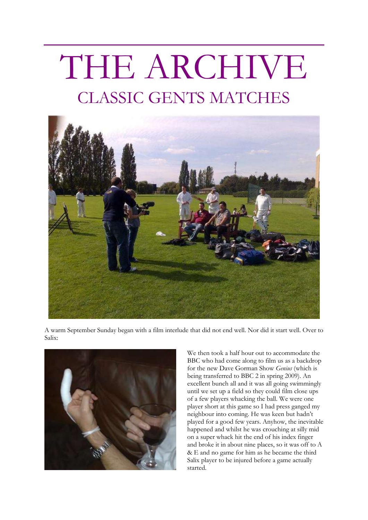# THE ARCHIVE CLASSIC GENTS MATCHES



A warm September Sunday began with a film interlude that did not end well. Nor did it start well. Over to Salix:



We then took a half hour out to accommodate the BBC who had come along to film us as a backdrop for the new Dave Gorman Show *Genius* (which is being transferred to BBC 2 in spring 2009). An excellent bunch all and it was all going swimmingly until we set up a field so they could film close ups of a few players whacking the ball. We were one player short at this game so I had press ganged my neighbour into coming. He was keen but hadn't played for a good few years. Anyhow, the inevitable happened and whilst he was crouching at silly mid on a super whack hit the end of his index finger and broke it in about nine places, so it was off to A & E and no game for him as he became the third Salix player to be injured before a game actually started.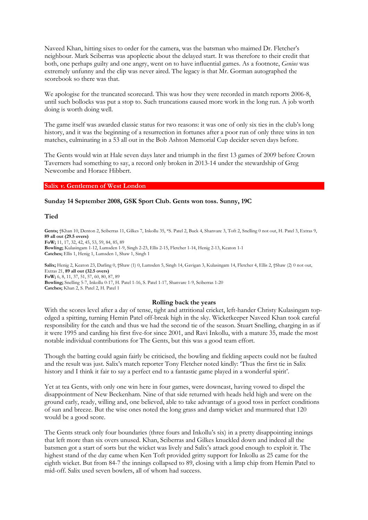Naveed Khan, hitting sixes to order for the camera, was the batsman who maimed Dr. Fletcher's neighbour. Mark Sciberras was apoplectic about the delayed start. It was therefore to their credit that both, one perhaps guilty and one angry, went on to have influential games. As a footnote, *Genius* was extremely unfunny and the clip was never aired. The legacy is that Mr. Gorman autographed the scorebook so there was that.

We apologise for the truncated scorecard. This was how they were recorded in match reports 2006-8, until such bollocks was put a stop to. Such truncations caused more work in the long run. A job worth doing is worth doing well.

The game itself was awarded classic status for two reasons: it was one of only six ties in the club's long history, and it was the beginning of a resurrection in fortunes after a poor run of only three wins in ten matches, culminating in a 53 all out in the Bob Ashton Memorial Cup decider seven days before.

The Gents would win at Hale seven days later and triumph in the first 13 games of 2009 before Crown Taverners had something to say, a record only broken in 2013-14 under the stewardship of Greg Newcombe and Horace Hibbert.

## **Salix v. Gentlemen of West London**

### **Sunday 14 September 2008, GSK Sport Club. Gents won toss. Sunny, 19C**

### **Tied**

Gents; †Khan 10, Denton 2, Sciberras 11, Gilkes 7, Inkollu 35, \*S. Patel 2, Buck 4, Shanvare 3, Toft 2, Snelling 0 not out, H. Patel 3, Extras 9, **89 all out (29.5 overs) FoW;** 11, 17, 32, 42, 45, 53, 59, 84, 85, 89 **Bowling;** Kulasingam 1-12, Lumsden 1-9, Singh 2-23, Ellis 2-15, Fletcher 1-14, Henig 2-13, Keaton 1-1 **Catches;** Ellis 1, Henig 1, Lumsden 1, Shaw 1, Singh 1

Salix; Henig 2, Keaton 23, Darling 0, †Shaw (1) 0, Lumsden 5, Singh 14, Gavigan 3, Kulasingam 14, Fletcher 4, Ellis 2, †Shaw (2) 0 not out, Extras 21, **89 all out (32.5 overs) FoW;** 6, 8, 11, 37, 51, 57, 60, 80, 87, 89 **Bowling;** Snelling 5-7, Inkollu 0-17, H. Patel 1-16, S. Patel 1-17, Shanvare 1-9, Sciberras 1-20 **Catches;** Khan 2, S. Patel 2, H. Patel 1

#### **Rolling back the years**

With the scores level after a day of tense, tight and attritional cricket, left-hander Christy Kulasingam topedged a spitting, turning Hemin Patel off-break high in the sky. Wicketkeeper Naveed Khan took careful responsibility for the catch and thus we had the second tie of the season. Stuart Snelling, charging in as if it were 1995 and carding his first five-for since 2001, and Ravi Inkollu, with a mature 35, made the most notable individual contributions for The Gents, but this was a good team effort.

Though the batting could again fairly be criticised, the bowling and fielding aspects could not be faulted and the result was just. Salix's match reporter Tony Fletcher noted kindly: 'Thus the first tie in Salix history and I think it fair to say a perfect end to a fantastic game played in a wonderful spirit'.

Yet at tea Gents, with only one win here in four games, were downcast, having vowed to dispel the disappointment of New Beckenham. Nine of that side returned with heads held high and were on the ground early, ready, willing and, one believed, able to take advantage of a good toss in perfect conditions of sun and breeze. But the wise ones noted the long grass and damp wicket and murmured that 120 would be a good score.

The Gents struck only four boundaries (three fours and Inkollu's six) in a pretty disappointing innings that left more than six overs unused. Khan, Sciberras and Gilkes knuckled down and indeed all the batsmen got a start of sorts but the wicket was lively and Salix's attack good enough to exploit it. The highest stand of the day came when Ken Toft provided gritty support for Inkollu as 25 came for the eighth wicket. But from 84-7 the innings collapsed to 89, closing with a limp chip from Hemin Patel to mid-off. Salix used seven bowlers, all of whom had success.